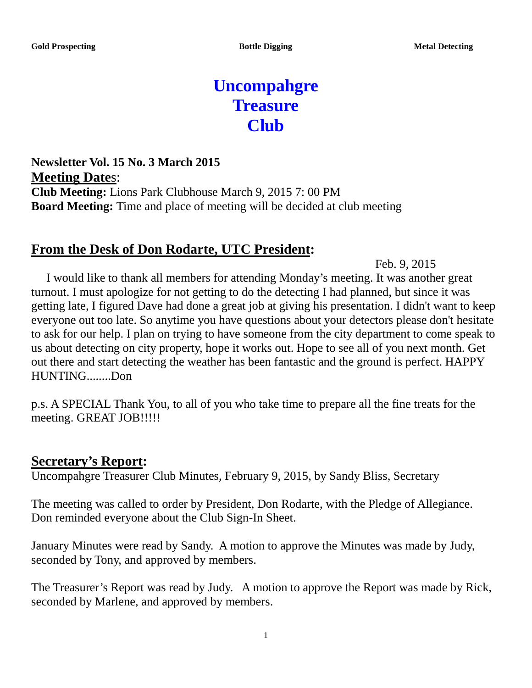# **Uncompahgre Treasure Club**

**Newsletter Vol. 15 No. 3 March 2015 Meeting Date**s: **Club Meeting:** Lions Park Clubhouse March 9, 2015 7: 00 PM **Board Meeting:** Time and place of meeting will be decided at club meeting

## **From the Desk of Don Rodarte, UTC President:**

Feb. 9, 2015

 I would like to thank all members for attending Monday's meeting. It was another great turnout. I must apologize for not getting to do the detecting I had planned, but since it was getting late, I figured Dave had done a great job at giving his presentation. I didn't want to keep everyone out too late. So anytime you have questions about your detectors please don't hesitate to ask for our help. I plan on trying to have someone from the city department to come speak to us about detecting on city property, hope it works out. Hope to see all of you next month. Get out there and start detecting the weather has been fantastic and the ground is perfect. HAPPY HUNTING........Don

p.s. A SPECIAL Thank You, to all of you who take time to prepare all the fine treats for the meeting. GREAT JOB!!!!!

#### **Secretary's Report:**

Uncompahgre Treasurer Club Minutes, February 9, 2015, by Sandy Bliss, Secretary

The meeting was called to order by President, Don Rodarte, with the Pledge of Allegiance. Don reminded everyone about the Club Sign-In Sheet.

January Minutes were read by Sandy. A motion to approve the Minutes was made by Judy, seconded by Tony, and approved by members.

The Treasurer's Report was read by Judy. A motion to approve the Report was made by Rick, seconded by Marlene, and approved by members.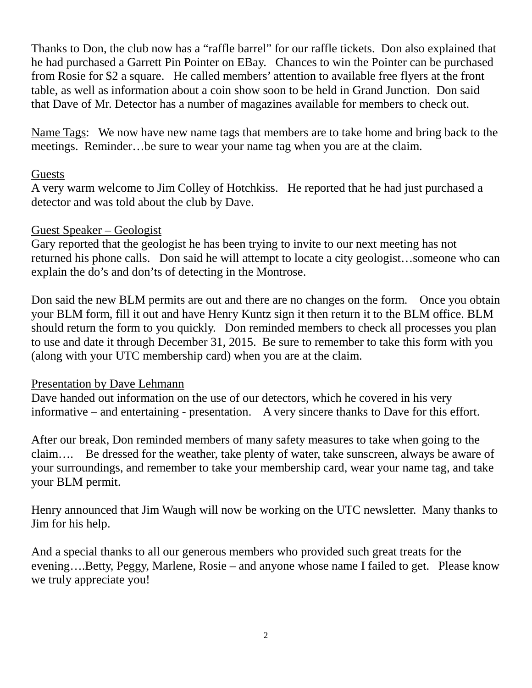Thanks to Don, the club now has a "raffle barrel" for our raffle tickets. Don also explained that he had purchased a Garrett Pin Pointer on EBay. Chances to win the Pointer can be purchased from Rosie for \$2 a square. He called members' attention to available free flyers at the front table, as well as information about a coin show soon to be held in Grand Junction. Don said that Dave of Mr. Detector has a number of magazines available for members to check out.

Name Tags: We now have new name tags that members are to take home and bring back to the meetings. Reminder…be sure to wear your name tag when you are at the claim.

#### **Guests**

A very warm welcome to Jim Colley of Hotchkiss. He reported that he had just purchased a detector and was told about the club by Dave.

#### Guest Speaker – Geologist

Gary reported that the geologist he has been trying to invite to our next meeting has not returned his phone calls. Don said he will attempt to locate a city geologist…someone who can explain the do's and don'ts of detecting in the Montrose.

Don said the new BLM permits are out and there are no changes on the form. Once you obtain your BLM form, fill it out and have Henry Kuntz sign it then return it to the BLM office. BLM should return the form to you quickly. Don reminded members to check all processes you plan to use and date it through December 31, 2015. Be sure to remember to take this form with you (along with your UTC membership card) when you are at the claim.

#### Presentation by Dave Lehmann

Dave handed out information on the use of our detectors, which he covered in his very informative – and entertaining - presentation. A very sincere thanks to Dave for this effort.

After our break, Don reminded members of many safety measures to take when going to the claim…. Be dressed for the weather, take plenty of water, take sunscreen, always be aware of your surroundings, and remember to take your membership card, wear your name tag, and take your BLM permit.

Henry announced that Jim Waugh will now be working on the UTC newsletter. Many thanks to Jim for his help.

And a special thanks to all our generous members who provided such great treats for the evening….Betty, Peggy, Marlene, Rosie – and anyone whose name I failed to get. Please know we truly appreciate you!